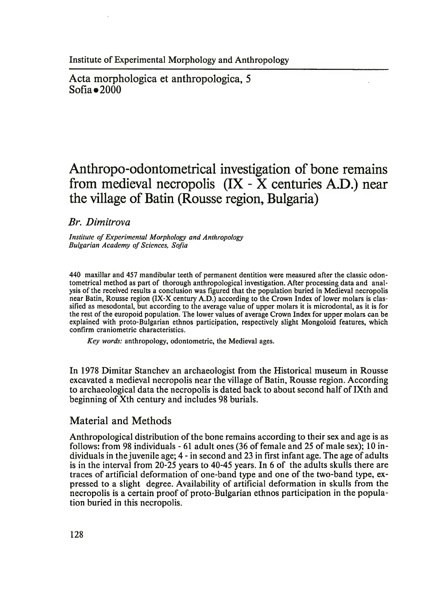Acta morphologica et anthropologica, 5  $Sofia \bullet 2000$ 

# **Anthropo-odontometrical investigation of bone remains from medieval necropolis (IX - X centuries A.D.) near the village of Batin (Rousse region, Bulgaria)**

*Br. Dimitrova*

*Institute of Experimental Morphology and Anthropology Bulgarian Academy of Sciences, Sofia*

440 maxillar and 457 mandibular teeth of permanent dentition were measured after the classic odontometrical method as part of thorough anthropological investigation. After processing data and analysis of the received results a conclusion was figured that the population buried in Medieval necropolis near Batin, Rousse region (IX-X century A.D.) according to the Crown Index of lower molars is classified as mesodontal, but according to the average value of upper molars it is microdontal, as it is for the rest of the europoid population. The lower values of average Crown Index for upper molars can be explained with proto-Bulgarian ethnos participation, respectively slight Mongoloid features, which confirm craniometric characteristics.

*Key words:* anthropology, odontometric, the Medieval ages.

In 1978 Dimitar Stanchev an archaeologist from the Historical museum in Rousse excavated a medieval necropolis near the village of Batin, Rousse region. According to archaeological data the necropolis is dated back to about second half of IXth and beginning of Xth century and includes 98 burials.

## Material and Methods

Anthropological distribution of the bone remains according to their sex and age is as follows: from 98 individuals - 61 adult ones (36 of female and 25 of male sex); 10 individuals in the juven ile age; 4 - in second and 23 in first infant age. The age of adults is in the interval from 20-25 years to 40-45 years. In 6 of the adults skulls there are traces of artificial deformation of one-band type and one of the two-band type, expressed to a slight degree. Availability of artificial deformation in skulls from the necropolis is a certain proof of proto-Bulgarian ethnos participation in the population buried in this necropolis.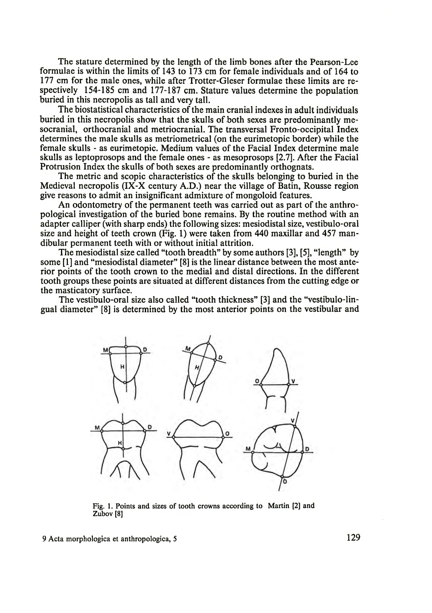The stature determined by the length of the limb bones after the Pearson-Lee formulae is within the limits of 143 to 173 cm for female individuals and of 164 to 177 cm for the male ones, while after Trotter-Gleser formulae these limits are respectively 154-185 cm and 177-187 cm. Stature values determine the population buried in this necropolis as tall and very tall.

The biostatistical characteristics of the main cranial indexes in adult individuals buried in this necropolis show that the skulls of both sexes are predominantly mesocranial, orthocranial and metriocranial. The transversal Fronto-occipital Index determines the male skulls as metriometrical (on the eurimetopic border) while the female skulls - as eurimetopic. Medium values of the Facial Index determine male skulls as leptoprosops and the female ones - as mesoprosops [2.7]. After the Facial Protrusion Index the skulls of both sexes are predominantly orthognats.

The metric and scopic characteristics of the skulls belonging to buried in the Medieval necropolis (IX-X century A.D.) near the village of Batin, Rousse region give reasons to admit an insignificant admixture of mongoloid features.

An odontometry of the permanent teeth was carried out as part of the anthropological investigation of the buried bone remains. By the routine method with an adapter calliper (with sharp ends) the following sizes: mesiodistal size, vestibulo-oral size and height of teeth crown (Fig. 1) were taken from 440 maxillar and 457 mandibular permanent teeth with or without initial attrition.

The mesiodistal size called "tooth breadth" by some authors [3], [5], "length" by some [1] and "mesiodistal diameter" [8] is the linear distance between the most anterior points of the tooth crown to the medial and distal directions. In the different tooth groups these points are situated at different distances from the cutting edge or the masticatory surface.

The vestibulo-oral size also called "tooth thickness" [3] and the "vestibulo-lingual diameter" [8] is determined by the most anterior points on the vestibular and



Fig. 1. Points and sizes of tooth crowns according to Martin [2] and Zubov [8]

9 Acta morphologica et anthropologica, 5 129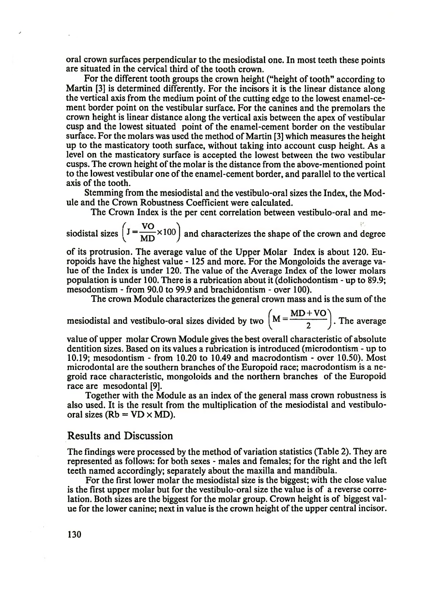oral crown surfaces perpendicular to the mesiodistal one. In most teeth these points are situated in the cervical third of the tooth crown.

For the different tooth groups the crown height ("height of tooth" according to Martin [3] is determined differently. For the incisors it is the linear distance along the vertical axis from the medium point of the cutting edge to the lowest enamel-cement border point on the vestibular surface. For the canines and the premolars the crown height is linear distance along the vertical axis between the apex of vestibular cusp and the lowest situated point of the enamel-cement border on the vestibular surface. For the molars was used the method of Martin [3] which measures the height up to the masticatory tooth surface, without taking into account cusp height. As a level on the masticatory surface is accepted the lowest between the two vestibular cusps. The crown height of the molar is the distance from the above-mentioned point to the lowest vestibular one of the enamel-cement border, and parallel to the vertical axis of the tooth.

Stemming from the mesiodistal and the vestibulo-oral sizes the Index, the Module and the Crown Robustness Coefficient were calculated.

The Crown Index is the per cent correlation between vestibulo-oral and me-

siodistal sizes  $I = \frac{VO}{MD} \times 100$  and characterizes the shape of the crown and degree

of its protrusion. The average value of the Upper Molar Index is about 120. Europoids have the highest value - 125 and more. For the Mongoloids the average value of the Index is under 120. The value of the Average Index of the lower molars population is under 100. There is a rubrication about it (dolichodontism - up to 89.9; mesodontism - from 90.0 to 99.9 and brachidontism - over 100).

The crown Module characterizes the general crown mass and is the sum of the

mesiodistal and vestibulo-oral sizes divided by two  $\left( M = \frac{MD + VO}{2} \right)$ . The average

value of upper molar Crown Module gives the best overall characteristic of absolute dentition sizes. Based on its values a rubrication is introduced (microdontism - up to 10.19; mesodontism - from 10.20 to 10.49 and macrodontism - over 10.50). Most microdontal are the southern branches of the Europoid race; macrodontism is a negroid race characteristic, mongoloids and the northern branches of the Europoid race are mesodontal [9].

Together with the Module as an index of the general mass crown robustness is also used. It is the result from the multiplication of the mesiodistal and vestibulooral sizes ( $Rb = VD \times MD$ ).

#### Results and Discussion

The findings were processed by the method of variation statistics (Table 2). They are represented as follows: for both sexes - males and females; for the right and the left teeth named accordingly; separately about the maxilla and mandibula.

For the first lower molar the mesiodistal size is the biggest; with the close value is the first upper molar but for the vestibulo-oral size the value is of a reverse correlation. Both sizes are the biggest for the molar group. Crown height is of biggest value for the lower canine; next in value is the crown height of the upper central incisor.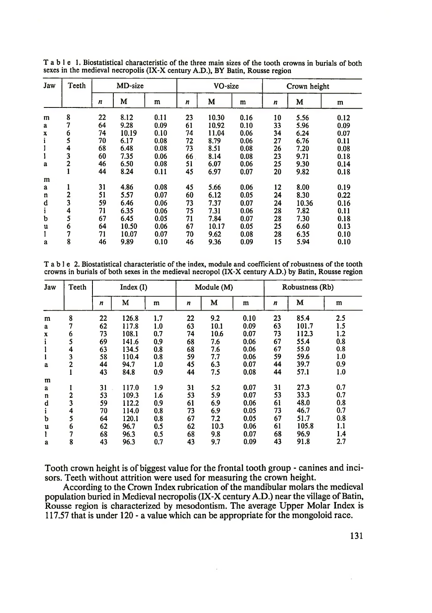| Jaw | Teeth          | MD-size |       |      | VO-size |       |      | Crown height |       |      |
|-----|----------------|---------|-------|------|---------|-------|------|--------------|-------|------|
|     |                | n       | M     | m    | n       | M     | m    | n            | M     | m    |
| m   | 8              | 22      | 8.12  | 0.11 | 23      | 10.30 | 0.16 | 10           | 5.56  | 0.12 |
| a   | 7              | 64      | 9.28  | 0.09 | 61      | 10.92 | 0.10 | 33           | 5.96  | 0.09 |
| x   | 6              | 74      | 10.19 | 0.10 | 74      | 11.04 | 0.06 | 34           | 6.24  | 0.07 |
| 1   | 5              | 70      | 6.17  | 0.08 | 72      | 8.79  | 0.06 | 27           | 6.76  | 0.11 |
| ı   | 4              | 68      | 6.48  | 0.08 | 73      | 8.51  | 0.08 | 26           | 7.20  | 0.08 |
| l   | 3              | 60      | 7.35  | 0.06 | 66      | 8.14  | 0.08 | 23           | 9.71  | 0.18 |
| a   | $\overline{2}$ | 46      | 6.50  | 0.08 | 51      | 6.07  | 0.06 | 25           | 9.30  | 0.14 |
|     |                | 44      | 8.24  | 0.11 | 45      | 6.97  | 0.07 | 20           | 9.82  | 0.18 |
| m   |                |         |       |      |         |       |      |              |       |      |
| a   |                | 31      | 4.86  | 0.08 | 45      | 5.66  | 0.06 | 12           | 8.00  | 0.19 |
| n   | 2              | 51      | 5.57  | 0.07 | 60      | 6.12  | 0.05 | 24           | 8.30  | 0.22 |
| d   | 3              | 59      | 6.46  | 0.06 | 73      | 7.37  | 0.07 | 24           | 10.36 | 0.16 |
| i   | 4              | 71      | 6.35  | 0.06 | 75      | 7.31  | 0.06 | 28           | 7.82  | 0.11 |
| b   | 5              | 67      | 6.45  | 0.05 | 71      | 7.84  | 0.07 | 28           | 7.30  | 0.18 |
| u   | 6              | 64      | 10.50 | 0.06 | 67      | 10.17 | 0.05 | 25           | 6.60  | 0.13 |
| 1   | 7              | 71      | 10.07 | 0.07 | 70      | 9.62  | 0.08 | 28           | 6.35  | 0.10 |
| a   | 8              | 46      | 9.89  | 0.10 | 46      | 9.36  | 0.09 | 15           | 5.94  | 0.10 |

T able 1. Biostatistical characteristic of the three main sizes of the tooth crowns in burials of both sexes in the medieval necropolis (IX-X century A.D.), BY Batin, Rousse region

T able 2. Biostatistical characteristic of the index, module and coefficient of robustness of the tooth crowns in burials of both sexes in the medieval necropol (IX-X century A.D.) by Batin, Rousse region

| Jaw | Teeth          | Index(I) |       |     | Module (M) |      |      | Robustness (Rb)  |       |     |
|-----|----------------|----------|-------|-----|------------|------|------|------------------|-------|-----|
|     |                | n        | M     | m   | n          | M    | m    | $\boldsymbol{n}$ | M     | m   |
| m   | 8              | 22       | 126.8 | 1.7 | 22         | 9.2  | 0.10 | 23               | 85.4  | 2.5 |
| a   | 7              | 62       | 117.8 | 1.0 | 63         | 10.1 | 0.09 | 63               | 101.7 | 1.5 |
| x   | 6              | 73       | 108.1 | 0.7 | 74         | 10.6 | 0.07 | 73               | 112.3 | 1.2 |
|     | 5              | 69       | 141.6 | 0.9 | 68         | 7.6  | 0.06 | 67               | 55.4  | 0.8 |
|     | 4              | 63       | 134.5 | 0.8 | 68         | 7.6  | 0.06 | 67               | 55.0  | 0.8 |
|     | 3              | 58       | 110.4 | 0.8 | 59         | 7.7  | 0.06 | 59               | 59.6  | 1.0 |
| a   | $\overline{2}$ | 44       | 94.7  | 1.0 | 45         | 6.3  | 0.07 | 44               | 39.7  | 0.9 |
|     |                | 43       | 84.8  | 0.9 | 44         | 7.5  | 0.08 | 44               | 57.1  | 1.0 |
| m   |                |          |       |     |            |      |      |                  |       |     |
| a   |                | 31       | 117.0 | 1.9 | 31         | 5.2  | 0.07 | 31               | 27.3  | 0.7 |
| n   | $\overline{c}$ | 53       | 109.3 | 1.6 | 53         | 5.9  | 0.07 | 53               | 33.3  | 0.7 |
| d   | 3              | 59       | 112.2 | 0.9 | 61         | 6.9  | 0.06 | 61               | 48.0  | 0.8 |
| i   | 4              | 70       | 114.0 | 0.8 | 73         | 6.9  | 0.05 | 73               | 46.7  | 0.7 |
| b   | 5              | 64       | 120.1 | 0.8 | 67         | 7.2  | 0.05 | 67               | 51.7  | 0.8 |
| u   | 6              | 62       | 96.7  | 0.5 | 62         | 10.3 | 0.06 | 61               | 105.8 | 1.1 |
|     | 7              | 68       | 96.3  | 0.5 | 68         | 9.8  | 0.07 | 68               | 96.9  | 1.4 |
| a   | 8              | 43       | 96.3  | 0.7 | 43         | 9.7  | 0.09 | 43               | 91.8  | 2.7 |

Tooth crown height is of biggest value for the frontal tooth group - canines and incisors. Teeth without attrition were used for measuring the crown height.

According to the Crown Index rubrication of the mandibular molars the medieval population buried in Medieval necropolis (IX-X century A.D.) near the village of Batin, Rousse region is characterized by mesodontism. The average Upper Molar Index is 117.57 that is under 120 - a value which can be appropriate for the mongoloid race.

 $\epsilon$